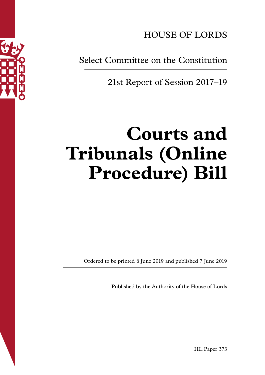

HOUSE OF LORDS

Select Committee on the Constitution

21st Report of Session 2017–19

# **Courts and Tribunals (Online Procedure) Bill**

Ordered to be printed 6 June 2019 and published 7 June 2019

Published by the Authority of the House of Lords

HL Paper 373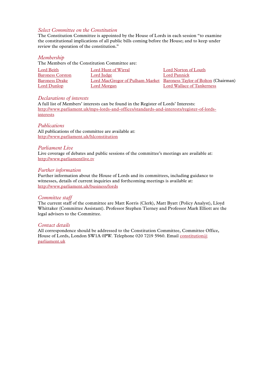### *Select Committee on the Constitution*

The Constitution Committee is appointed by the House of Lords in each session "to examine the constitutional implications of all public bills coming before the House; and to keep under review the operation of the constitution."

### *Membership*

The Members of the Constitution Committee are:

| Lord Beith              | Lord Hunt of Wirral | Lord Norton of Louth                                                 |
|-------------------------|---------------------|----------------------------------------------------------------------|
| <b>Baroness Corston</b> | Lord Judge          | Lord Pannick                                                         |
| <b>Baroness Drake</b>   |                     | Lord MacGregor of Pulham Market Baroness Taylor of Bolton (Chairman) |
| Lord Dunlop             | Lord Morgan         | Lord Wallace of Tankerness                                           |

### *Declarations of interests*

A full list of Members' interests can be found in the Register of Lords' Interests: [http://www.parliament.uk/mps-lords-and-offices/standards-and-interests/register-of-lords](http://www.parliament.uk/mps-lords-and-offices/standards-and-interests/register-of-lords-interests)[interests](http://www.parliament.uk/mps-lords-and-offices/standards-and-interests/register-of-lords-interests)

### *Publications*

All publications of the committee are available at: <http://www.parliament.uk/hlconstitution>

### *Parliament Live*

Live coverage of debates and public sessions of the committee's meetings are available at: <http://www.parliamentlive.tv>

### *Further information*

Further information about the House of Lords and its committees, including guidance to witnesses, details of current inquiries and forthcoming meetings is available at: <http://www.parliament.uk/business/lords>

### *Committee staff*

The current staff of the committee are Matt Korris (Clerk), Matt Byatt (Policy Analyst), Lloyd Whittaker (Committee Assistant). Professor Stephen Tierney and Professor Mark Elliott are the legal advisers to the Committee.

### *Contact details*

All correspondence should be addressed to the Constitution Committee, Committee Office, House of Lords, London SW1A 0PW. Telephone 020 7219 5960. Email [constitution@](mailto:constitution@parliament.uk) [parliament.uk](mailto:constitution@parliament.uk)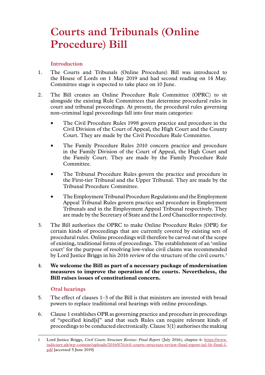# **Courts and Tribunals (Online Procedure) Bill**

# **Introduction**

- 1. The Courts and Tribunals (Online Procedure) Bill was introduced to the House of Lords on 1 May 2019 and had second reading on 14 May. Committee stage is expected to take place on 10 June.
- 2. The Bill creates an Online Procedure Rule Committee (OPRC) to sit alongside the existing Rule Committees that determine procedural rules in court and tribunal proceedings. At present, the procedural rules governing non-criminal legal proceedings fall into four main categories:
	- The Civil Procedure Rules 1998 govern practice and procedure in the Civil Division of the Court of Appeal, the High Court and the County Court. They are made by the Civil Procedure Rule Committee.
	- The Family Procedure Rules 2010 concern practice and procedure in the Family Division of the Court of Appeal, the High Court and the Family Court. They are made by the Family Procedure Rule Committee.
	- The Tribunal Procedure Rules govern the practice and procedure in the First-tier Tribunal and the Upper Tribunal. They are made by the Tribunal Procedure Committee.
	- The Employment Tribunal Procedure Regulations and the Employment Appeal Tribunal Rules govern practice and procedure in Employment Tribunals and in the Employment Appeal Tribunal respectively. They are made by the Secretary of State and the Lord Chancellor respectively.
- 3. The Bill authorises the OPRC to make Online Procedure Rules (OPR) for certain kinds of proceedings that are currently covered by existing sets of procedural rules. Online proceedings will therefore be carved out of the scope of existing, traditional forms of proceedings. The establishment of an 'online court' for the purpose of resolving low-value civil claims was recommended by Lord Justice Briggs in his 2016 review of the structure of the civil courts.<sup>1</sup>

# 4. **We welcome the Bill as part of a necessary package of modernisation measures to improve the operation of the courts. Nevertheless, the Bill raises issues of constitutional concern.**

# **Oral hearings**

- 5. The effect of clauses 1–3 of the Bill is that ministers are invested with broad powers to replace traditional oral hearings with online proceedings.
- 6. Clause 1 establishes OPR as governing practice and procedure in proceedings of "specified kind[s]" and that such Rules can require relevant kinds of proceedings to be conducted electronically. Clause 3(1) authorises the making

<sup>1</sup> Lord Justice Briggs, *Civil Courts Structure Review: Final Report* (July 2016), chapter 6: [https://www.](https://www.judiciary.uk/wp-content/uploads/2016/07/civil-courts-structure-review-final-report-jul-16-final-1.pdf) [judiciary.uk/wp-content/uploads/2016/07/civil-courts-structure-review-final-report-jul-16-final-1.](https://www.judiciary.uk/wp-content/uploads/2016/07/civil-courts-structure-review-final-report-jul-16-final-1.pdf) [pdf](https://www.judiciary.uk/wp-content/uploads/2016/07/civil-courts-structure-review-final-report-jul-16-final-1.pdf) [accessed 5 June 2019]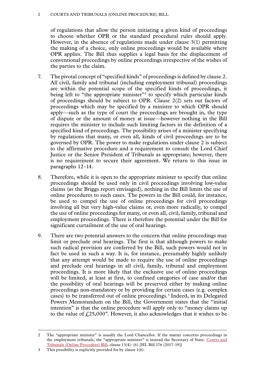### 2 Courts and Tribunals (Online Procedure) Bill

of regulations that allow the person initiating a given kind of proceedings to choose whether OPR or the standard procedural rules should apply. However, in the absence of regulations made under clause 3(1) permitting the making of a choice, only online proceedings would be available where OPR applies. The Bill thus supplies a legal basis for the displacement of conventional proceedings by online proceedings irrespective of the wishes of the parties to the claim.

- 7. The pivotal concept of "specified kinds" of proceedings is defined by clause 2. All civil, family and tribunal (including employment tribunal) proceedings are within the potential scope of the specified kinds of proceedings, it being left to "the appropriate minister"<sup>2</sup> to specify which particular kinds of proceedings should be subject to OPR. Clause 2(2) sets out factors of proceedings which may be specified by a minister to which OPR should apply—such as the type of court the proceedings are brought in, the type of dispute or the amount of money at issue—however nothing in the Bill requires the minister to include such limiting factors in the definition of a specified kind of proceedings. The possibility arises of a minister specifying by regulations that many, or even all, kinds of civil proceedings are to be governed by OPR. The power to make regulations under clause 2 is subject to the affirmative procedure and a requirement to consult the Lord Chief Justice or the Senior President of Tribunals as appropriate; however, there is no requirement to secure their agreement. We return to this issue in paragraphs 12–14.
- 8. Therefore, while it is open to the appropriate minister to specify that online proceedings should be used only in civil proceedings involving low-value claims (as the Briggs report envisaged), nothing in the Bill limits the use of online procedures to such cases. The powers in the Bill could, for instance, be used to compel the use of online proceedings for civil proceedings involving all but very high-value claims or, even more radically, to compel the use of online proceedings for many, or even all, civil, family, tribunal and employment proceedings. There is therefore the potential under the Bill for significant curtailment of the use of oral hearings.
- 9. There are two potential answers to the concern that online proceedings may limit or preclude oral hearings. The first is that although powers to make such radical provision are conferred by the Bill, such powers would not in fact be used in such a way. It is, for instance, presumably highly unlikely that any attempt would be made to require the use of online proceedings and preclude oral hearings in all civil, family, tribunal and employment proceedings. It is more likely that the exclusive use of online proceedings will be limited, at least at first, to confined categories of case and/or that the possibility of oral hearings will be preserved either by making online proceedings non-mandatory or by providing for certain cases (e.g. complex cases) to be transferred out of online proceedings.3 Indeed, in its Delegated Powers Memorandum on the Bill, the Government states that the "initial intention" is that the online procedure will apply only to "money claims up to the value of  $\text{\textsterling}25,000$ ". However, it also acknowledges that it wishes to be

<sup>2</sup> The "appropriate minister" is usually the Lord Chancellor. If the matter concerns proceedings in the employment tribunals, the "appropriate minister" is instead the Secretary of State. Courts and Tribunals (Online Procedure) Bill, clause 13(4)–(6) [HL Bill 176 (2017–19)]

<sup>3</sup> This possibility is explicitly provided for by clause 1(6).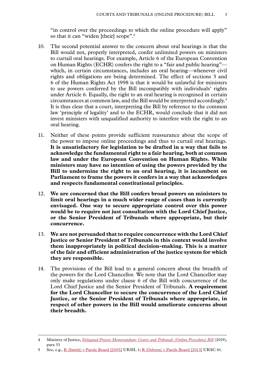"in control over the proceedings to which the online procedure will apply" so that it can "widen [their] scope".<sup>4</sup>

- 10. The second potential answer to the concern about oral hearings is that the Bill would not, properly interpreted, confer unlimited powers on ministers to curtail oral hearings. For example, Article 6 of the European Convention on Human Rights (ECHR) confers the right to a "fair and public hearing" which, in certain circumstances, includes an oral hearing—whenever civil rights and obligations are being determined. The effect of sections 3 and 6 of the Human Rights Act 1998 is that it would be unlawful for ministers to use powers conferred by the Bill incompatibly with individuals' rights under Article 6. Equally, the right to an oral hearing is recognised in certain circumstances at common law, and the Bill would be interpreted accordingly.5 It is thus clear that a court, interpreting the Bill by reference to the common law 'principle of legality' and to the ECHR, would conclude that it did not invest ministers with unqualified authority to interfere with the right to an oral hearing.
- 11. Neither of these points provide sufficient reassurance about the scope of the power to impose online proceedings and thus to curtail oral hearings. **It is unsatisfactory for legislation to be drafted in a way that fails to acknowledge the fundamental right to a fair hearing, both at common law and under the European Convention on Human Rights. While ministers may have no intention of using the powers provided by the Bill to undermine the right to an oral hearing, it is incumbent on Parliament to frame the powers it confers in a way that acknowledges and respects fundamental constitutional principles.**
- 12. **We are concerned that the Bill confers broad powers on ministers to limit oral hearings in a much wider range of cases than is currently envisaged. One way to secure appropriate control over this power would be to require not just consultation with the Lord Chief Justice, or the Senior President of Tribunals where appropriate, but their concurrence.**
- 13. **We are not persuaded that to require concurrence with the Lord Chief Justice or Senior President of Tribunals in this context would involve them inappropriately in political decision-making. This is a matter of the fair and efficient administration of the justice system for which they are responsible.**
- 14. The provisions of the Bill lead to a general concern about the breadth of the powers for the Lord Chancellor. We note that the Lord Chancellor may only make regulations under clause 6 of the Bill with concurrence of the Lord Chief Justice and the Senior President of Tribunals. **A requirement for the Lord Chancellor to secure the concurrence of the Lord Chief Justice, or the Senior President of Tribunals where appropriate, in respect of other powers in the Bill would ameliorate concerns about their breadth.**

<sup>4</sup> Ministry of Justice, *[Delegated Powers Memorandum: Courts and Tribunals \(Online Procedure\) Bill](https://publications.parliament.uk/pa/bills/lbill/2017-2019/0176/18176-DPM.pdf)* (2019), para 33

<sup>5</sup> See, e.g., [R \(Smith\) v Parole Board \[2005\]](https://publications.parliament.uk/pa/ld200405/ldjudgmt/jd050127/parole-1.htm) UKHL 1; [R \(Osborn\) v Parole Board \[2013\]](https://www.supremecourt.uk/cases/uksc-2011-0147.html) UKSC 61.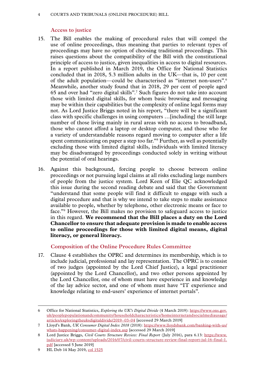### 4 Courts and Tribunals (Online Procedure) Bill

### **Access to justice**

- 15. The Bill enables the making of procedural rules that will compel the use of online proceedings, thus meaning that parties to relevant types of proceedings may have no option of choosing traditional proceedings. This raises questions about the compatibility of the Bill with the constitutional principle of access to justice, given inequalities in access to digital resources. In a report published in March 2019, the Office for National Statistics concluded that in 2018, 5.3 million adults in the UK—that is, 10 per cent of the adult population—could be characterised as "internet non-users".6 Meanwhile, another study found that in 2018, 29 per cent of people aged 65 and over had "zero digital skills".7 Such figures do not take into account those with limited digital skills, for whom basic browsing and messaging may be within their capabilities but the complexity of online legal forms may not. As Lord Justice Briggs noted in his report, "there will be a significant class with specific challenges in using computers …[including] the still large number of those living mainly in rural areas with no access to broadband, those who cannot afford a laptop or desktop computer, and those who for a variety of understandable reasons regard moving to computer after a life spent communicating on paper a step too far."8 Further, as well as potentially excluding those with limited digital skills, individuals with limited literacy may be disadvantaged by proceedings conducted solely in writing without the potential of oral hearings.
- 16. Against this background, forcing people to choose between online proceedings or not pursuing legal claims at all risks excluding large numbers of people from the justice system. Lord Keen of Elie QC acknowledged this issue during the second reading debate and said that the Government "understand that some people will find it difficult to engage with such a digital procedure and that is why we intend to take steps to make assistance available to people, whether by telephone, other electronic means or face to face."9 However, the Bill makes no provision to safeguard access to justice in this regard. **We recommend that the Bill places a duty on the Lord Chancellor to ensure that adequate provision is made to enable access to online proceedings for those with limited digital means, digital literacy, or general literacy.**

# **Composition of the Online Procedure Rules Committee**

17. Clause 4 establishes the OPRC and determines its membership, which is to include judicial, professional and lay representation. The OPRC is to consist of two judges (appointed by the Lord Chief Justice), a legal practitioner (appointed by the Lord Chancellor), and two other persons appointed by the Lord Chancellor, one of whom must have experience in and knowledge of the lay advice sector, and one of whom must have "IT experience and knowledge relating to end-users' experience of internet portals".

<sup>6</sup> Office for National Statistics, *Exploring the UK's Digital Divide* (4 March 2019): [https://www.ons.gov.](https://www.ons.gov.uk/peoplepopulationandcommunity/householdcharacteristics/homeinternetandsocialmediausage/articles/exploringtheuksdigitaldivide/2019-03-04) [uk/peoplepopulationandcommunity/householdcharacteristics/homeinternetandsocialmediausage/](https://www.ons.gov.uk/peoplepopulationandcommunity/householdcharacteristics/homeinternetandsocialmediausage/articles/exploringtheuksdigitaldivide/2019-03-04) [articles/exploringtheuksdigitaldivide/2019–03-04](https://www.ons.gov.uk/peoplepopulationandcommunity/householdcharacteristics/homeinternetandsocialmediausage/articles/exploringtheuksdigitaldivide/2019-03-04) [accessed 29 March 2019]

<sup>7</sup> Lloyd's Bank, *UK Consumer Digital Index 2018* (2018): [https://www.lloydsbank.com/banking-with-us/](https://www.lloydsbank.com/banking-with-us/whats-happening/consumer-digital-index.asp) [whats-happening/consumer-digital-index.asp](https://www.lloydsbank.com/banking-with-us/whats-happening/consumer-digital-index.asp) [accessed 29 March 2019]

<sup>8</sup> Lord Justice Briggs, *Civil Courts Structure Review: Final Report* (July 2016), para 6.13: [https://www.](https://www.judiciary.uk/wp-content/uploads/2016/07/civil-courts-structure-review-final-report-jul-16-final-1.pdf) [judiciary.uk/wp-content/uploads/2016/07/civil-courts-structure-review-final-report-jul-16-final-1.](https://www.judiciary.uk/wp-content/uploads/2016/07/civil-courts-structure-review-final-report-jul-16-final-1.pdf) [pdf](https://www.judiciary.uk/wp-content/uploads/2016/07/civil-courts-structure-review-final-report-jul-16-final-1.pdf) [accessed 5 June 2019]

<sup>9</sup> HL Deb 14 May 2019, [col 1525](https://hansard.parliament.uk/lords/2019-05-14/debates/3B63BD53-5E8D-4C89-A7AB-DAD9D74F844F/CourtsAndTribunals(OnlineProcedure)Bill(HL))